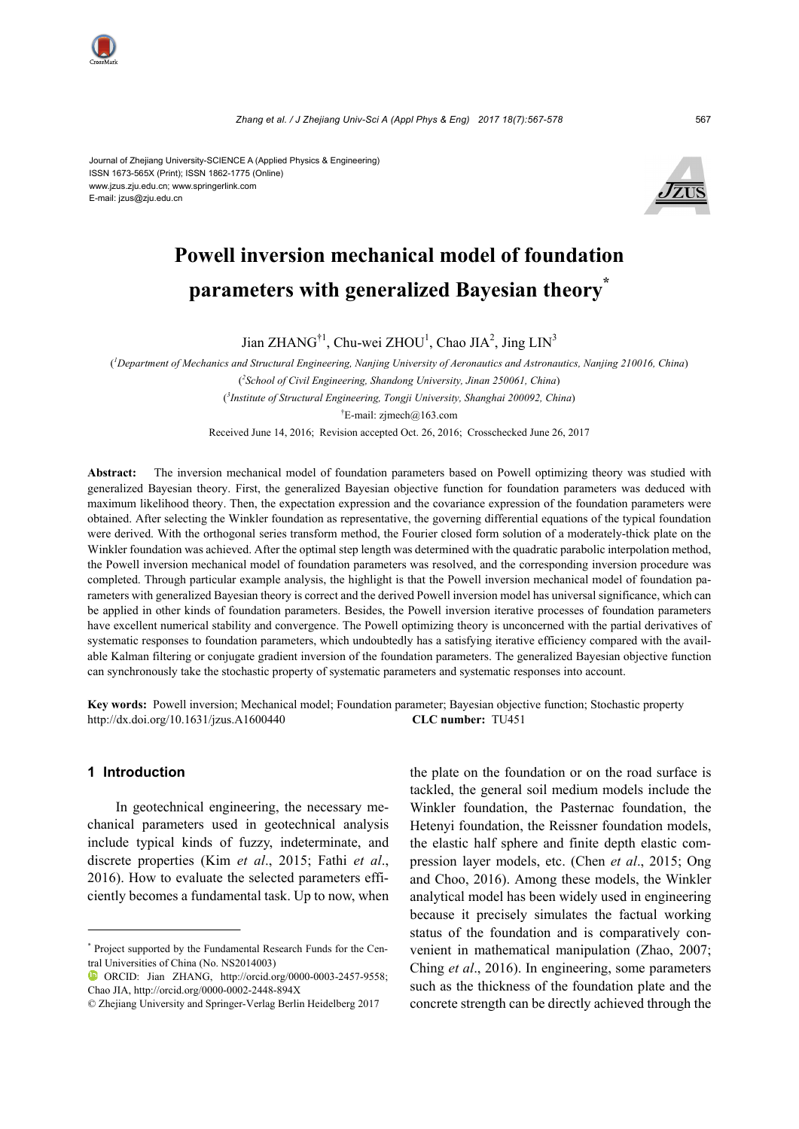

Journal of Zhejiang University-SCIENCE A (Applied Physics & Engineering) ISSN 1673-565X (Print); ISSN 1862-1775 (Online) www.jzus.zju.edu.cn; www.springerlink.com E-mail: jzus@zju.edu.cn



# **Powell inversion mechanical model of foundation parameters with generalized Bayesian theory\***

Jian ZHANG<sup>†1</sup>, Chu-wei ZHOU<sup>1</sup>, Chao JIA<sup>2</sup>, Jing LIN<sup>3</sup>

 $(^l$ Department of Mechanics and Structural Engineering, Nanjing University of Aeronautics and Astronautics, Nanjing 210016, China)

( *2 School of Civil Engineering, Shandong University, Jinan 250061, China*)

( *3 Institute of Structural Engineering, Tongji University, Shanghai 200092, China*)

† E-mail: zjmech@163.com

Received June 14, 2016; Revision accepted Oct. 26, 2016; Crosschecked June 26, 2017

**Abstract:** The inversion mechanical model of foundation parameters based on Powell optimizing theory was studied with generalized Bayesian theory. First, the generalized Bayesian objective function for foundation parameters was deduced with maximum likelihood theory. Then, the expectation expression and the covariance expression of the foundation parameters were obtained. After selecting the Winkler foundation as representative, the governing differential equations of the typical foundation were derived. With the orthogonal series transform method, the Fourier closed form solution of a moderately-thick plate on the Winkler foundation was achieved. After the optimal step length was determined with the quadratic parabolic interpolation method, the Powell inversion mechanical model of foundation parameters was resolved, and the corresponding inversion procedure was completed. Through particular example analysis, the highlight is that the Powell inversion mechanical model of foundation parameters with generalized Bayesian theory is correct and the derived Powell inversion model has universal significance, which can be applied in other kinds of foundation parameters. Besides, the Powell inversion iterative processes of foundation parameters have excellent numerical stability and convergence. The Powell optimizing theory is unconcerned with the partial derivatives of systematic responses to foundation parameters, which undoubtedly has a satisfying iterative efficiency compared with the available Kalman filtering or conjugate gradient inversion of the foundation parameters. The generalized Bayesian objective function can synchronously take the stochastic property of systematic parameters and systematic responses into account.

**Key words:** Powell inversion; Mechanical model; Foundation parameter; Bayesian objective function; Stochastic property http://dx.doi.org/10.1631/jzus.A1600440 **CLC number:** TU451

## **1 Introduction**

In geotechnical engineering, the necessary mechanical parameters used in geotechnical analysis include typical kinds of fuzzy, indeterminate, and discrete properties (Kim *et al*., 2015; Fathi *et al*., 2016). How to evaluate the selected parameters efficiently becomes a fundamental task. Up to now, when

the plate on the foundation or on the road surface is tackled, the general soil medium models include the Winkler foundation, the Pasternac foundation, the Hetenyi foundation, the Reissner foundation models, the elastic half sphere and finite depth elastic compression layer models, etc. (Chen *et al*., 2015; Ong and Choo, 2016). Among these models, the Winkler analytical model has been widely used in engineering because it precisely simulates the factual working status of the foundation and is comparatively convenient in mathematical manipulation (Zhao, 2007; Ching *et al*., 2016). In engineering, some parameters such as the thickness of the foundation plate and the concrete strength can be directly achieved through the

<sup>\*</sup> Project supported by the Fundamental Research Funds for the Central Universities of China (No. NS2014003)

ORCID: Jian ZHANG, http://orcid.org/0000-0003-2457-9558; Chao JIA, http://orcid.org/0000-0002-2448-894X

<sup>©</sup> Zhejiang University and Springer-Verlag Berlin Heidelberg 2017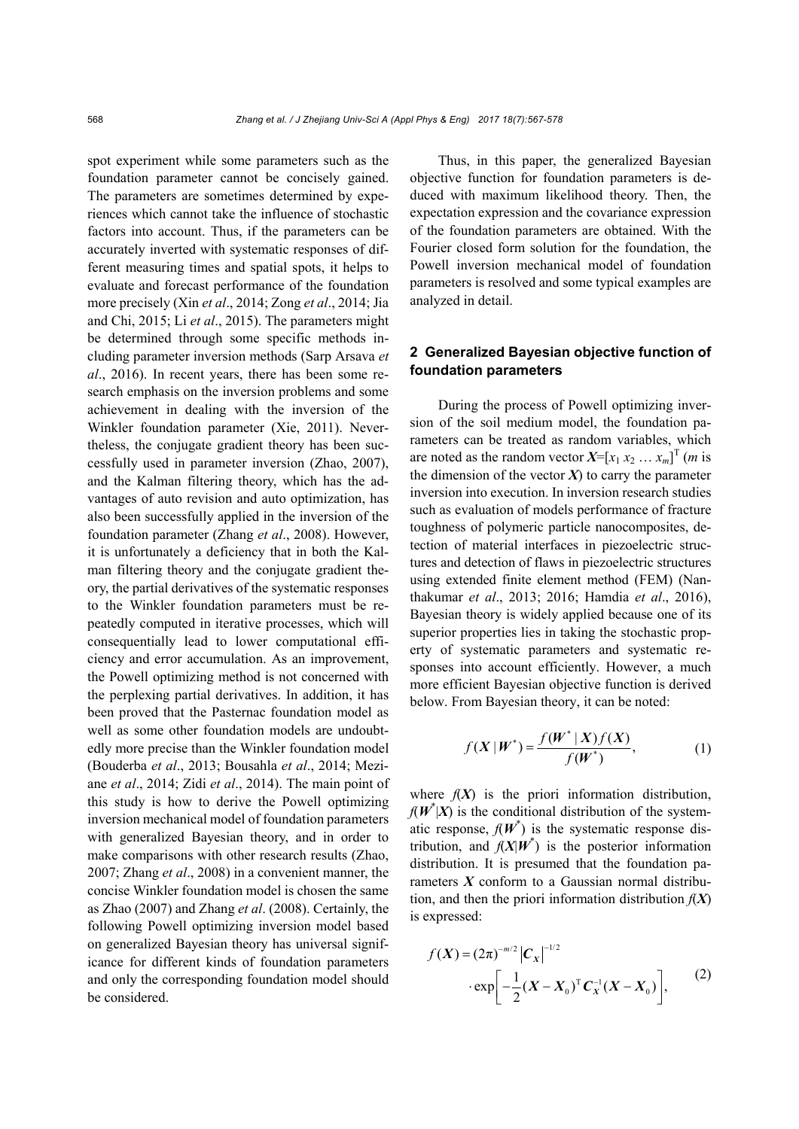spot experiment while some parameters such as the foundation parameter cannot be concisely gained. The parameters are sometimes determined by experiences which cannot take the influence of stochastic factors into account. Thus, if the parameters can be accurately inverted with systematic responses of different measuring times and spatial spots, it helps to evaluate and forecast performance of the foundation more precisely (Xin *et al*., 2014; Zong *et al*., 2014; Jia and Chi, 2015; Li *et al*., 2015). The parameters might be determined through some specific methods including parameter inversion methods (Sarp Arsava *et al*., 2016). In recent years, there has been some research emphasis on the inversion problems and some achievement in dealing with the inversion of the Winkler foundation parameter (Xie, 2011). Nevertheless, the conjugate gradient theory has been successfully used in parameter inversion (Zhao, 2007), and the Kalman filtering theory, which has the advantages of auto revision and auto optimization, has also been successfully applied in the inversion of the foundation parameter (Zhang *et al*., 2008). However, it is unfortunately a deficiency that in both the Kalman filtering theory and the conjugate gradient theory, the partial derivatives of the systematic responses to the Winkler foundation parameters must be repeatedly computed in iterative processes, which will consequentially lead to lower computational efficiency and error accumulation. As an improvement, the Powell optimizing method is not concerned with the perplexing partial derivatives. In addition, it has been proved that the Pasternac foundation model as well as some other foundation models are undoubtedly more precise than the Winkler foundation model (Bouderba *et al*., 2013; Bousahla *et al*., 2014; Meziane *et al*., 2014; Zidi *et al*., 2014). The main point of this study is how to derive the Powell optimizing inversion mechanical model of foundation parameters with generalized Bayesian theory, and in order to make comparisons with other research results (Zhao, 2007; Zhang *et al*., 2008) in a convenient manner, the concise Winkler foundation model is chosen the same as Zhao (2007) and Zhang *et al*. (2008). Certainly, the following Powell optimizing inversion model based on generalized Bayesian theory has universal significance for different kinds of foundation parameters and only the corresponding foundation model should be considered.

Thus, in this paper, the generalized Bayesian objective function for foundation parameters is deduced with maximum likelihood theory. Then, the expectation expression and the covariance expression of the foundation parameters are obtained. With the Fourier closed form solution for the foundation, the Powell inversion mechanical model of foundation parameters is resolved and some typical examples are analyzed in detail.

#### **2 Generalized Bayesian objective function of foundation parameters**

During the process of Powell optimizing inversion of the soil medium model, the foundation parameters can be treated as random variables, which are noted as the random vector  $X=[x_1 x_2 ... x_m]^T$  (*m* is the dimension of the vector  $X$ ) to carry the parameter inversion into execution. In inversion research studies such as evaluation of models performance of fracture toughness of polymeric particle nanocomposites, detection of material interfaces in piezoelectric structures and detection of flaws in piezoelectric structures using extended finite element method (FEM) (Nanthakumar *et al*., 2013; 2016; Hamdia *et al*., 2016), Bayesian theory is widely applied because one of its superior properties lies in taking the stochastic property of systematic parameters and systematic responses into account efficiently. However, a much more efficient Bayesian objective function is derived below. From Bayesian theory, it can be noted:

$$
f(X | W^*) = \frac{f(W^* | X) f(X)}{f(W^*)},
$$
 (1)

where  $f(X)$  is the priori information distribution,  $f(W^*|X)$  is the conditional distribution of the systematic response,  $f(W^*)$  is the systematic response distribution, and  $f(X|W^*)$  is the posterior information distribution. It is presumed that the foundation parameters *X* conform to a Gaussian normal distribution, and then the priori information distribution  $f(X)$ is expressed:

$$
f(X) = (2\pi)^{-m/2} |C_X|^{-1/2}
$$
  
 
$$
\cdot \exp\left[-\frac{1}{2}(X - X_0)^T C_X^{-1}(X - X_0)\right],
$$
 (2)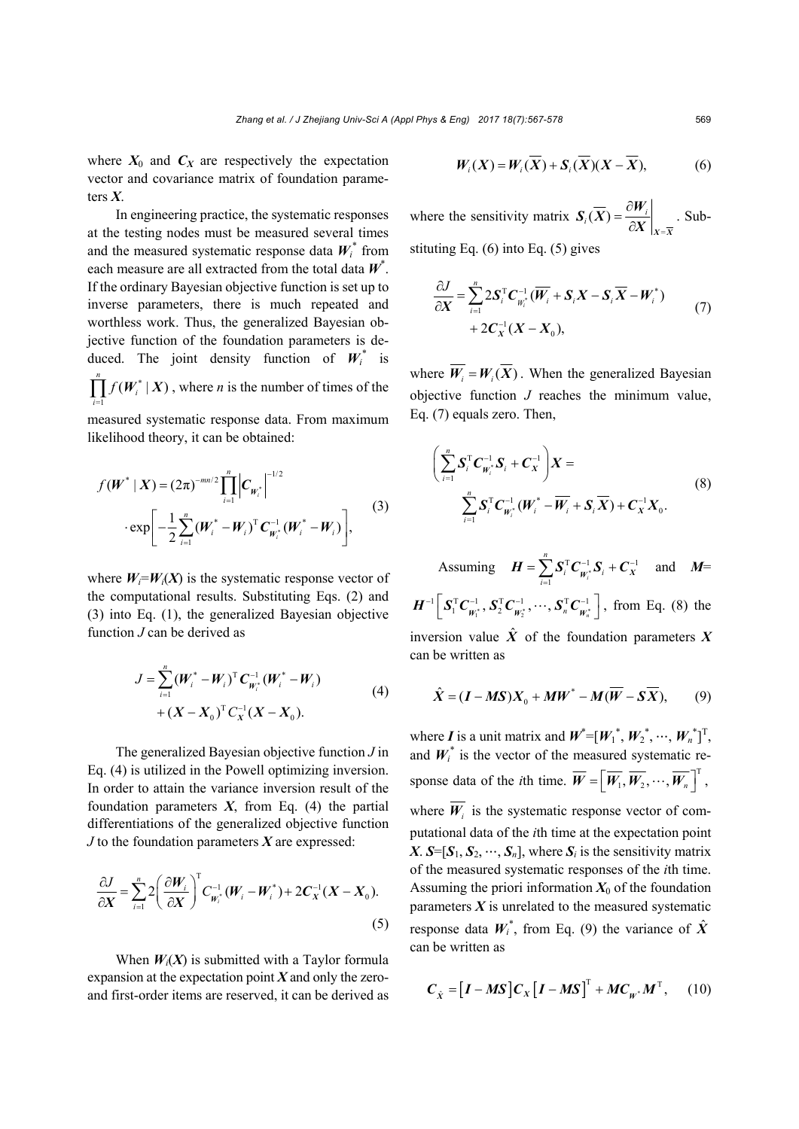where  $X_0$  and  $C_X$  are respectively the expectation vector and covariance matrix of foundation parameters *X*.

In engineering practice, the systematic responses at the testing nodes must be measured several times and the measured systematic response data  $W_i^*$  from each measure are all extracted from the total data *W*\* . If the ordinary Bayesian objective function is set up to inverse parameters, there is much repeated and worthless work. Thus, the generalized Bayesian objective function of the foundation parameters is deduced. The joint density function of  $W_i^*$  is 1  $\prod_{i=1}^{n} f(W_i^* | X)$ , where *n* is the number of times of the measured systematic response data. From maximum likelihood theory, it can be obtained:

$$
f(W^* | X) = (2\pi)^{-mn/2} \prod_{i=1}^n \Big| C_{W_i^*} \Big|^{-1/2}
$$
  
 
$$
\cdot \exp \Bigg[ -\frac{1}{2} \sum_{i=1}^n (W_i^* - W_i)^T C_{W_i^*}^{-1} (W_i^* - W_i) \Bigg],
$$
 (3)

where  $W_i = W_i(X)$  is the systematic response vector of the computational results. Substituting Eqs. (2) and (3) into Eq. (1), the generalized Bayesian objective function *J* can be derived as

$$
J = \sum_{i=1}^{n} (W_i^* - W_i)^{\mathrm{T}} C_{W_i^*}^{-1} (W_i^* - W_i)
$$
  
+  $(X - X_0)^{\mathrm{T}} C_X^{-1} (X - X_0).$  (4)

The generalized Bayesian objective function *J* in Eq. (4) is utilized in the Powell optimizing inversion. In order to attain the variance inversion result of the foundation parameters  $X$ , from Eq. (4) the partial differentiations of the generalized objective function *J* to the foundation parameters *X* are expressed:

$$
\frac{\partial J}{\partial X} = \sum_{i=1}^{n} 2 \left( \frac{\partial W_i}{\partial X} \right)^{\mathrm{T}} C_{W_i^*}^{-1} (W_i - W_i^*) + 2 C_X^{-1} (X - X_0).
$$
\n(5)

When  $W_i(X)$  is submitted with a Taylor formula expansion at the expectation point *X* and only the zeroand first-order items are reserved, it can be derived as

$$
W_i(X) = W_i(\overline{X}) + S_i(\overline{X})(X - \overline{X}), \tag{6}
$$

where the sensitivity matrix  $S_i(X) = \frac{\partial W_i}{\partial Y_i}$  $S_i(\overline{X}) = \frac{\partial W_i}{\partial X}\Big|_{X=\overline{X}}$ *X* . Substituting Eq. (6) into Eq. (5) gives

$$
\frac{\partial J}{\partial X} = \sum_{i=1}^{n} 2S_i^{\mathrm{T}} C_{W_i^*}^{-1} (\overline{W_i} + S_i X - S_i \overline{X} - W_i^*)
$$
  
+2C<sub>X</sub><sup>-1</sup> (X - X<sub>0</sub>), (7)

where  $\overline{W_i} = W_i(\overline{X})$ . When the generalized Bayesian objective function *J* reaches the minimum value, Eq. (7) equals zero. Then,

$$
\left(\sum_{i=1}^{n} \mathbf{S}_{i}^{\mathrm{T}} \mathbf{C}_{\mathbf{W}_{i}^{*}}^{-1} \mathbf{S}_{i} + \mathbf{C}_{X}^{-1}\right) \mathbf{X} =
$$
\n
$$
\sum_{i=1}^{n} \mathbf{S}_{i}^{\mathrm{T}} \mathbf{C}_{\mathbf{W}_{i}^{*}}^{-1} (\mathbf{W}_{i}^{*} - \overline{\mathbf{W}}_{i} + \mathbf{S}_{i} \overline{\mathbf{X}}) + \mathbf{C}_{X}^{-1} \mathbf{X}_{0}.
$$
\n(8)

Assuming  $\boldsymbol{H} = \sum \boldsymbol{S}_i^{\mathrm{T}} \boldsymbol{C}_{\boldsymbol{w}^*}^{-1} \boldsymbol{S}_i + \boldsymbol{C}_{\boldsymbol{X}}^{-1}$ <sup>1</sup> *<sup>i</sup> n*  $\sum_{i=1}$   $\boldsymbol{S}_i^\mathrm{T} \boldsymbol{C}_{\boldsymbol{W}_i^*}^{-1} \boldsymbol{S}_i + \boldsymbol{C}_{\boldsymbol{X}_i}^{-1}$  $H = \sum_{i=1} S_i^T C_{W_i^*}^{-1} S_i + C_X^{-1}$  and  $M=$  $_1$   $\sim$   $m_2$  $H^{-1}$   $\left[ S_1^{\text{T}} C_{W_1^*}^{-1}, S_2^{\text{T}} C_{W_2^*}^{-1}, \cdots, S_n^{\text{T}} C_{W_n^*}^{-1} \right]$ , from Eq. (8) the

inversion value  $\hat{X}$  of the foundation parameters  $\hat{X}$ can be written as

$$
\hat{X} = (I - MS)X_0 + MW^* - M(\overline{W} - S\overline{X}), \qquad (9)
$$

where *I* is a unit matrix and  $W^* = [W_1^*, W_2^*, \dots, W_n^*]^T$ , and  $W_i^*$  is the vector of the measured systematic response data of the *i*th time.  $\overline{W} = \left[ \overline{W_1}, \overline{W_2}, \dots, \overline{W_n} \right]^\text{T}$ , where  $\overline{W}_i$  is the systematic response vector of computational data of the *i*th time at the expectation point *X*.  $S=[S_1, S_2, \cdots, S_n]$ , where  $S_i$  is the sensitivity matrix of the measured systematic responses of the *i*th time. Assuming the priori information  $X_0$  of the foundation parameters  $X$  is unrelated to the measured systematic response data  $W_i^*$ , from Eq. (9) the variance of  $\hat{X}$ can be written as

$$
\boldsymbol{C}_{\hat{\boldsymbol{X}}} = [\boldsymbol{I} - \boldsymbol{M}\boldsymbol{S}]\boldsymbol{C}_{\boldsymbol{X}}[\boldsymbol{I} - \boldsymbol{M}\boldsymbol{S}]^{\mathrm{T}} + \boldsymbol{M}\boldsymbol{C}_{\boldsymbol{W}^*}\boldsymbol{M}^{\mathrm{T}}, \quad (10)
$$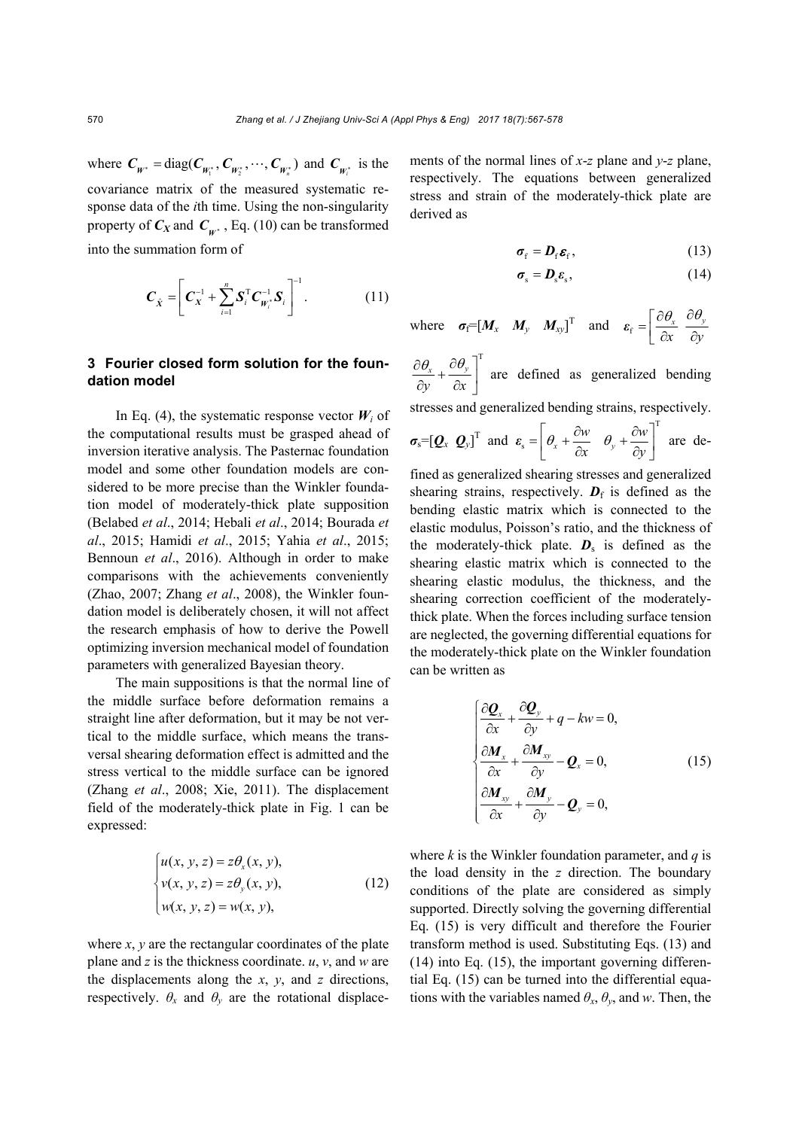where  $C_{w^*} = \text{diag}(C_{w_1^*}, C_{w_2^*}, \dots, C_{w_n^*})$  and  $C_{w_i^*}$  is the covariance matrix of the measured systematic response data of the *i*th time. Using the non-singularity property of  $C_X$  and  $C_{w^*}$ , Eq. (10) can be transformed into the summation form of

$$
C_{\hat{X}} = \left[ C_X^{-1} + \sum_{i=1}^n S_i^{\mathrm{T}} C_{W_i^*}^{-1} S_i \right]^{-1}.
$$
 (11)

# **3 Fourier closed form solution for the foundation model**

In Eq. (4), the systematic response vector  $W_i$  of the computational results must be grasped ahead of inversion iterative analysis. The Pasternac foundation model and some other foundation models are considered to be more precise than the Winkler foundation model of moderately-thick plate supposition (Belabed *et al*., 2014; Hebali *et al*., 2014; Bourada *et al*., 2015; Hamidi *et al*., 2015; Yahia *et al*., 2015; Bennoun *et al*., 2016). Although in order to make comparisons with the achievements conveniently (Zhao, 2007; Zhang *et al*., 2008), the Winkler foundation model is deliberately chosen, it will not affect the research emphasis of how to derive the Powell optimizing inversion mechanical model of foundation parameters with generalized Bayesian theory.

The main suppositions is that the normal line of the middle surface before deformation remains a straight line after deformation, but it may be not vertical to the middle surface, which means the transversal shearing deformation effect is admitted and the stress vertical to the middle surface can be ignored (Zhang *et al*., 2008; Xie, 2011). The displacement field of the moderately-thick plate in Fig. 1 can be expressed:

$$
\begin{cases}\n u(x, y, z) = z\theta_x(x, y), \\
 v(x, y, z) = z\theta_y(x, y), \\
 w(x, y, z) = w(x, y),\n\end{cases}
$$
\n(12)

where  $x$ ,  $y$  are the rectangular coordinates of the plate plane and *z* is the thickness coordinate. *u*, *v*, and *w* are the displacements along the  $x$ ,  $y$ , and  $z$  directions, respectively.  $\theta_x$  and  $\theta_y$  are the rotational displacements of the normal lines of *x*-*z* plane and *y*-*z* plane, respectively. The equations between generalized stress and strain of the moderately-thick plate are derived as

$$
\boldsymbol{\sigma}_{\mathrm{f}} = \boldsymbol{D}_{\mathrm{f}} \boldsymbol{\varepsilon}_{\mathrm{f}} , \qquad (13)
$$

$$
\boldsymbol{\sigma}_{\rm s} = \boldsymbol{D}_{\rm s} \boldsymbol{\varepsilon}_{\rm s},\tag{14}
$$

where 
$$
\sigma_f = [M_x \quad M_y \quad M_{xy}]^T
$$
 and  $\varepsilon_f = \begin{bmatrix} \frac{\partial \theta_x}{\partial x} & \frac{\partial \theta_y}{\partial y} \end{bmatrix}$ 

T  $\frac{y}{x}$   $\frac{y}{y}$ *y x*  $\partial \theta_{\rm v}$   $\partial \theta_{\rm v}$  $\left[\frac{\partial v_x}{\partial y} + \frac{\partial v_y}{\partial x}\right]$  are defined as generalized bending

stresses and generalized bending strains, respectively.

$$
\boldsymbol{\sigma}_s = [\boldsymbol{Q}_x \ \boldsymbol{Q}_y]^T
$$
 and  $\boldsymbol{\varepsilon}_s = \begin{bmatrix} \theta_x + \frac{\partial w}{\partial x} & \theta_y + \frac{\partial w}{\partial y} \end{bmatrix}^T$  are de-

fined as generalized shearing stresses and generalized shearing strains, respectively.  $D_f$  is defined as the bending elastic matrix which is connected to the elastic modulus, Poisson's ratio, and the thickness of the moderately-thick plate.  $D_s$  is defined as the shearing elastic matrix which is connected to the shearing elastic modulus, the thickness, and the shearing correction coefficient of the moderatelythick plate. When the forces including surface tension are neglected, the governing differential equations for the moderately-thick plate on the Winkler foundation can be written as

$$
\begin{cases}\n\frac{\partial \mathbf{Q}_x}{\partial x} + \frac{\partial \mathbf{Q}_y}{\partial y} + q - kw = 0, \\
\frac{\partial \mathbf{M}_x}{\partial x} + \frac{\partial \mathbf{M}_{xy}}{\partial y} - \mathbf{Q}_x = 0, \\
\frac{\partial \mathbf{M}_{xy}}{\partial x} + \frac{\partial \mathbf{M}_y}{\partial y} - \mathbf{Q}_y = 0,\n\end{cases}
$$
\n(15)

where *k* is the Winkler foundation parameter, and *q* is the load density in the *z* direction. The boundary conditions of the plate are considered as simply supported. Directly solving the governing differential Eq. (15) is very difficult and therefore the Fourier transform method is used. Substituting Eqs. (13) and (14) into Eq. (15), the important governing differential Eq. (15) can be turned into the differential equations with the variables named  $\theta_x$ ,  $\theta_y$ , and *w*. Then, the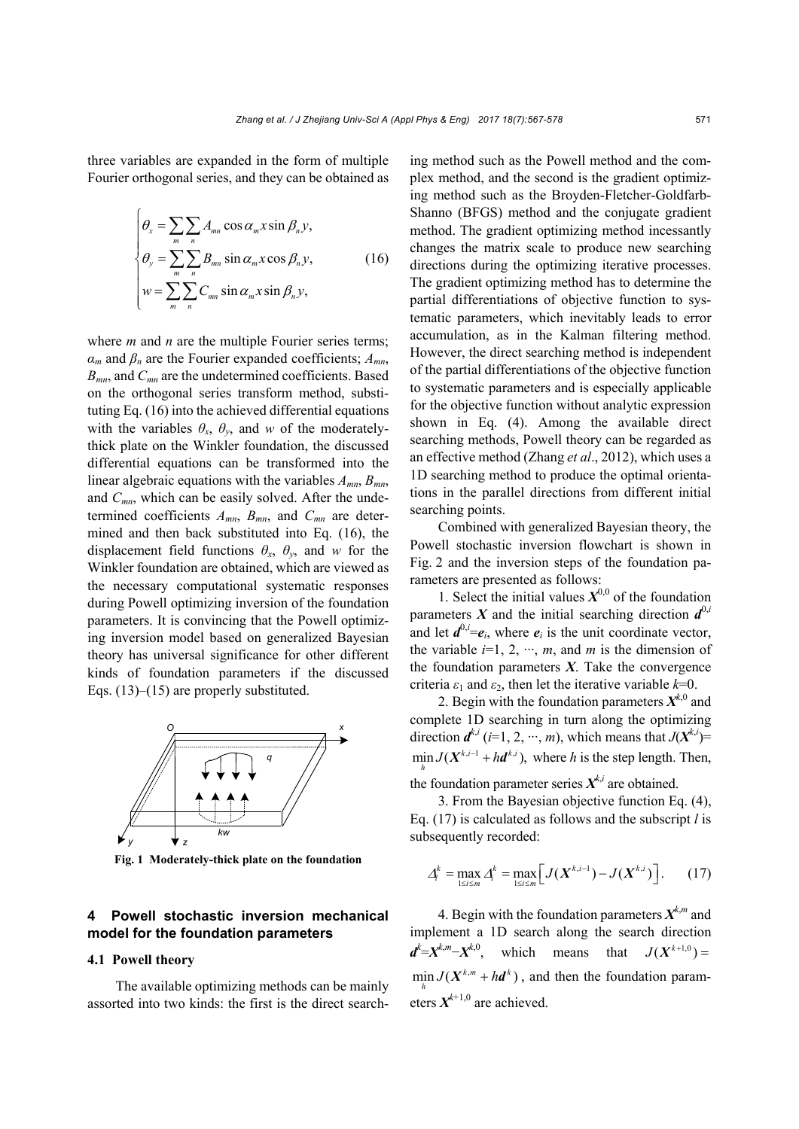three variables are expanded in the form of multiple Fourier orthogonal series, and they can be obtained as

$$
\begin{cases}\n\theta_x = \sum_m \sum_n A_{mn} \cos \alpha_m x \sin \beta_n y, \\
\theta_y = \sum_m \sum_n B_{mn} \sin \alpha_m x \cos \beta_n y, \\
w = \sum_m \sum_n C_{mn} \sin \alpha_m x \sin \beta_n y,\n\end{cases} \tag{16}
$$

where *m* and *n* are the multiple Fourier series terms;  $\alpha_m$  and  $\beta_n$  are the Fourier expanded coefficients;  $A_{mn}$ , *Bmn*, and *Cmn* are the undetermined coefficients. Based on the orthogonal series transform method, substituting Eq. (16) into the achieved differential equations with the variables  $\theta_x$ ,  $\theta_y$ , and *w* of the moderatelythick plate on the Winkler foundation, the discussed differential equations can be transformed into the linear algebraic equations with the variables  $A_{mn}$ ,  $B_{mn}$ , and *Cmn*, which can be easily solved. After the undetermined coefficients  $A_{mn}$ ,  $B_{mn}$ , and  $C_{mn}$  are determined and then back substituted into Eq. (16), the displacement field functions  $\theta_x$ ,  $\theta_y$ , and *w* for the Winkler foundation are obtained, which are viewed as the necessary computational systematic responses during Powell optimizing inversion of the foundation parameters. It is convincing that the Powell optimizing inversion model based on generalized Bayesian theory has universal significance for other different kinds of foundation parameters if the discussed Eqs. (13)–(15) are properly substituted.



**Fig. 1 Moderately-thick plate on the foundation**

## **4 Powell stochastic inversion mechanical model for the foundation parameters**

#### **4.1 Powell theory**

The available optimizing methods can be mainly assorted into two kinds: the first is the direct searching method such as the Powell method and the complex method, and the second is the gradient optimizing method such as the Broyden-Fletcher-Goldfarb-Shanno (BFGS) method and the conjugate gradient method. The gradient optimizing method incessantly changes the matrix scale to produce new searching directions during the optimizing iterative processes. The gradient optimizing method has to determine the partial differentiations of objective function to systematic parameters, which inevitably leads to error accumulation, as in the Kalman filtering method. However, the direct searching method is independent of the partial differentiations of the objective function to systematic parameters and is especially applicable for the objective function without analytic expression shown in Eq. (4). Among the available direct searching methods, Powell theory can be regarded as an effective method (Zhang *et al*., 2012), which uses a 1D searching method to produce the optimal orientations in the parallel directions from different initial searching points.

Combined with generalized Bayesian theory, the Powell stochastic inversion flowchart is shown in Fig. 2 and the inversion steps of the foundation parameters are presented as follows:

1. Select the initial values  $X^{0,0}$  of the foundation parameters *X* and the initial searching direction  $d^{0,i}$ and let  $d^{0,i} = e_i$ , where  $e_i$  is the unit coordinate vector, the variable  $i=1, 2, \dots, m$ , and *m* is the dimension of the foundation parameters  $X$ . Take the convergence criteria  $\varepsilon_1$  and  $\varepsilon_2$ , then let the iterative variable  $k=0$ .

2. Begin with the foundation parameters  $X^{k,0}$  and complete 1D searching in turn along the optimizing direction  $d^{k,i}$  ( $i=1, 2, \cdots, m$ ), which means that  $J(X^{k,i})$ =  $\min J(X^{k,i-1} + hd^{k,i})$ , where *h* is the step length. Then, *h* the foundation parameter series  $X^{k,i}$  are obtained.

3. From the Bayesian objective function Eq. (4), Eq. (17) is calculated as follows and the subscript *l* is subsequently recorded:

$$
\Delta_i^k = \max_{1 \le i \le m} \Delta_i^k = \max_{1 \le i \le m} \Big[ J(X^{k,i-1}) - J(X^{k,i}) \Big]. \tag{17}
$$

4. Begin with the foundation parameters  $X^{k,m}$  and implement a 1D search along the search direction  $d^{k} = X^{k,m} - X^{k,0}$ , which means that  $J(X^{k+1,0}) =$  $\min_{h} J(X^{k,m} + hd^k)$ , and then the foundation parameters  $X^{k+1,0}$  are achieved.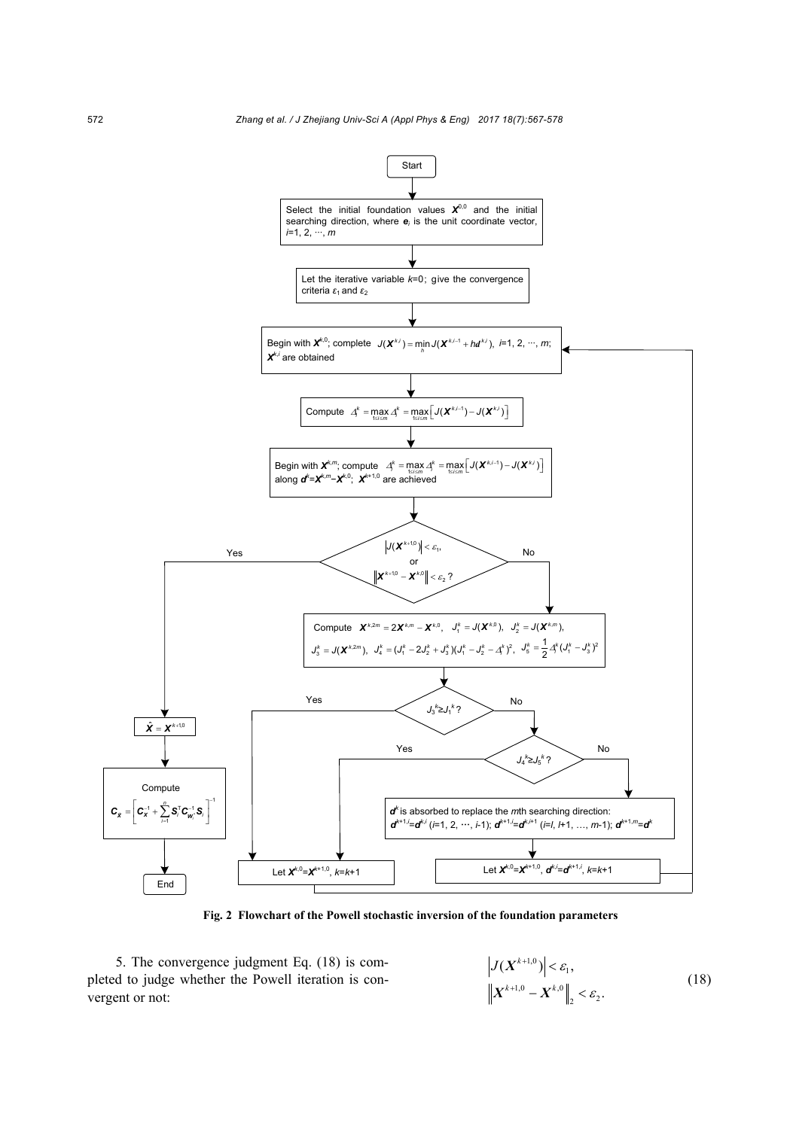

**Fig. 2 Flowchart of the Powell stochastic inversion of the foundation parameters** 

5. The convergence judgment Eq. (18) is completed to judge whether the Powell iteration is convergent or not:

$$
\left| J(X^{k+1,0}) \right| < \varepsilon_1,
$$
\n
$$
\left\| X^{k+1,0} - X^{k,0} \right\|_2 < \varepsilon_2.
$$
\n
$$
(18)
$$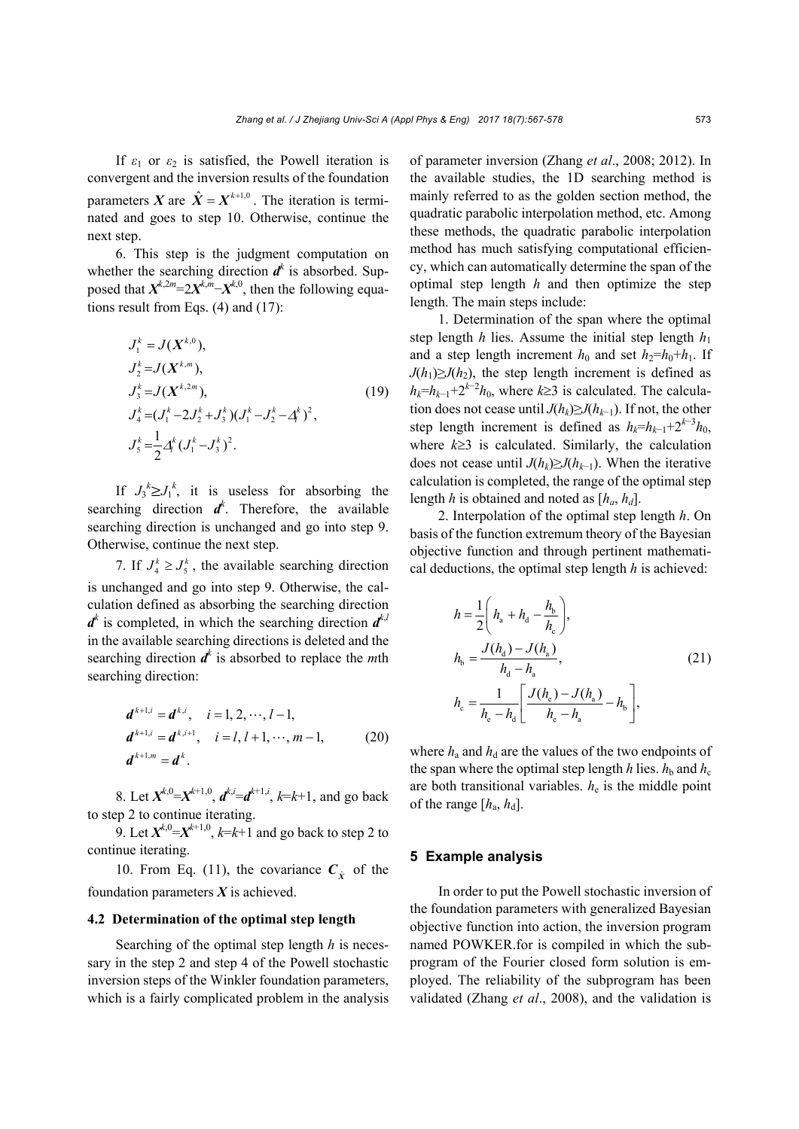If  $\varepsilon_1$  or  $\varepsilon_2$  is satisfied, the Powell iteration is convergent and the inversion results of the foundation parameters *X* are  $\hat{X} = X^{k+1,0}$ . The iteration is terminated and goes to step 10. Otherwise, continue the next step.

6. This step is the judgment computation on whether the searching direction  $d^k$  is absorbed. Supposed that  $X^{k,2m} = 2X^{k,m} - X^{k,0}$ , then the following equations result from Eqs. (4) and (17):

$$
J_1^k = J(X^{k,0}),
$$
  
\n
$$
J_2^k = J(X^{k,m}),
$$
  
\n
$$
J_3^k = J(X^{k,2m}),
$$
  
\n
$$
J_4^k = (J_1^k - 2J_2^k + J_3^k)(J_1^k - J_2^k - J_1^k)^2,
$$
  
\n
$$
J_5^k = \frac{1}{2} A_f^k (J_1^k - J_3^k)^2.
$$
\n(19)

If  $J_3^k \geq J_1^k$ , it is useless for absorbing the searching direction  $d^k$ . Therefore, the available searching direction is unchanged and go into step 9. Otherwise, continue the next step.

7. If  $J_4^k \geq J_5^k$ , the available searching direction is unchanged and go into step 9. Otherwise, the calculation defined as absorbing the searching direction  $d^k$  is completed, in which the searching direction  $d^{k,l}$ in the available searching directions is deleted and the searching direction  $d^k$  is absorbed to replace the *m*th searching direction:

$$
d^{k+1,i} = d^{k,i}, \quad i = 1, 2, \dots, l-1,
$$
  
\n
$$
d^{k+1,i} = d^{k,i+1}, \quad i = l, l+1, \dots, m-1,
$$
  
\n
$$
d^{k+1,m} = d^k.
$$
\n(20)

8. Let  $X^{k,0} = X^{k+1,0}$ ,  $d^{k,i} = d^{k+1,i}$ ,  $k=k+1$ , and go back to step 2 to continue iterating.

9. Let  $X^{k,0} = X^{k+1,0}$ ,  $k=k+1$  and go back to step 2 to continue iterating.

10. From Eq. (11), the covariance  $C_{\hat{x}}$  of the foundation parameters *X* is achieved.

#### **4.2 Determination of the optimal step length**

Searching of the optimal step length *h* is necessary in the step 2 and step 4 of the Powell stochastic inversion steps of the Winkler foundation parameters, which is a fairly complicated problem in the analysis of parameter inversion (Zhang *et al*., 2008; 2012). In the available studies, the 1D searching method is mainly referred to as the golden section method, the quadratic parabolic interpolation method, etc. Among these methods, the quadratic parabolic interpolation method has much satisfying computational efficiency, which can automatically determine the span of the optimal step length *h* and then optimize the step length. The main steps include:

1. Determination of the span where the optimal step length *h* lies. Assume the initial step length  $h_1$ and a step length increment  $h_0$  and set  $h_2=h_0+h_1$ . If  $J(h_1) \geq J(h_2)$ , the step length increment is defined as  $h_k = h_{k-1} + 2^{k-2}h_0$ , where  $k \geq 3$  is calculated. The calculation does not cease until *J*( $h_k$ )≥*J*( $h_{k-1}$ ). If not, the other step length increment is defined as  $h_k=h_{k-1}+2^{k-3}h_0$ , where  $k \geq 3$  is calculated. Similarly, the calculation does not cease until  $J(h_k) \ge J(h_{k-1})$ . When the iterative calculation is completed, the range of the optimal step length *h* is obtained and noted as  $[h_a, h_d]$ .

2. Interpolation of the optimal step length *h*. On basis of the function extremum theory of the Bayesian objective function and through pertinent mathematical deductions, the optimal step length *h* is achieved:

$$
h = \frac{1}{2} \left( h_a + h_d - \frac{h_b}{h_c} \right),
$$
  
\n
$$
h_b = \frac{J(h_a) - J(h_a)}{h_a - h_a},
$$
  
\n
$$
h_c = \frac{1}{h_c - h_d} \left[ \frac{J(h_c) - J(h_a)}{h_c - h_a} - h_b \right],
$$
\n(21)

where  $h_a$  and  $h_d$  are the values of the two endpoints of the span where the optimal step length *h* lies.  $h_b$  and  $h_c$ are both transitional variables.  $h<sub>e</sub>$  is the middle point of the range  $[h_a, h_d]$ .

#### **5 Example analysis**

In order to put the Powell stochastic inversion of the foundation parameters with generalized Bayesian objective function into action, the inversion program named POWKER.for is compiled in which the subprogram of the Fourier closed form solution is employed. The reliability of the subprogram has been validated (Zhang *et al*., 2008), and the validation is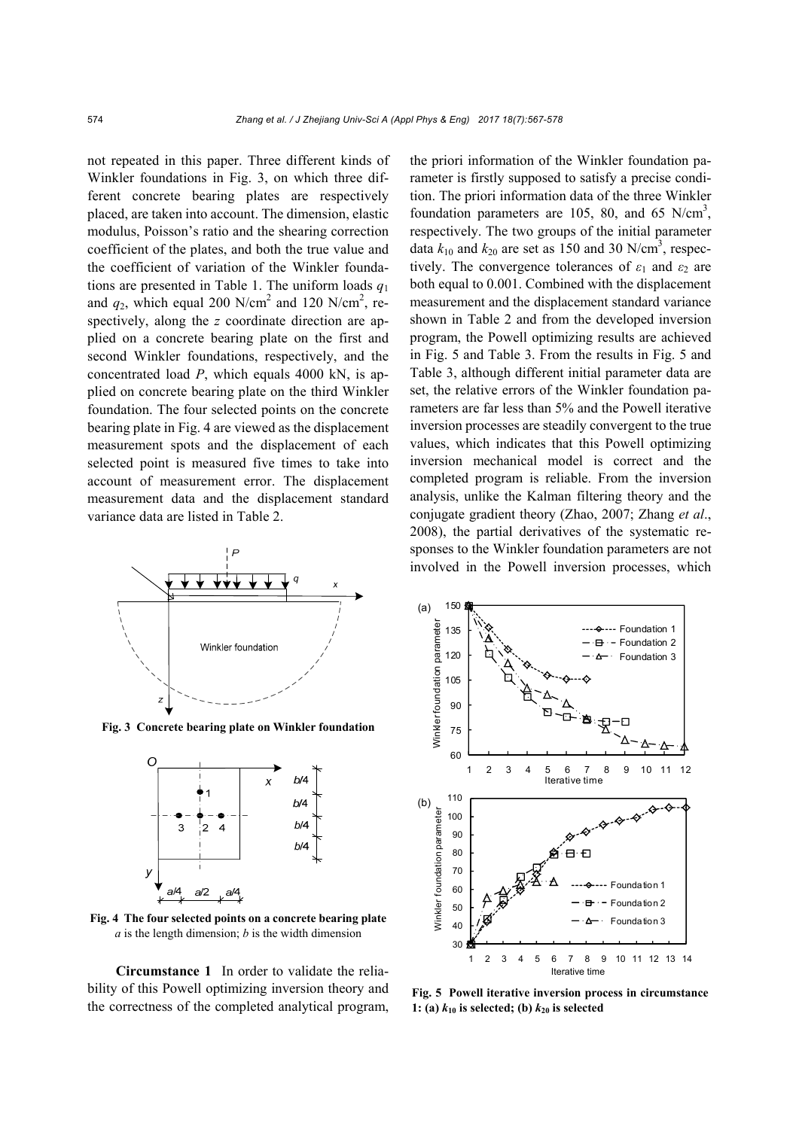not repeated in this paper. Three different kinds of Winkler foundations in Fig. 3, on which three different concrete bearing plates are respectively placed, are taken into account. The dimension, elastic modulus, Poisson's ratio and the shearing correction coefficient of the plates, and both the true value and the coefficient of variation of the Winkler foundations are presented in Table 1. The uniform loads *q*<sup>1</sup> and  $q_2$ , which equal 200 N/cm<sup>2</sup> and 120 N/cm<sup>2</sup>, respectively, along the *z* coordinate direction are applied on a concrete bearing plate on the first and second Winkler foundations, respectively, and the concentrated load *P*, which equals 4000 kN, is applied on concrete bearing plate on the third Winkler foundation. The four selected points on the concrete bearing plate in Fig. 4 are viewed as the displacement measurement spots and the displacement of each selected point is measured five times to take into account of measurement error. The displacement measurement data and the displacement standard variance data are listed in Table 2.



**Fig. 3 Concrete bearing plate on Winkler foundation**



**Fig. 4 The four selected points on a concrete bearing plate** *a* is the length dimension; *b* is the width dimension

**Circumstance 1** In order to validate the reliability of this Powell optimizing inversion theory and the correctness of the completed analytical program, the priori information of the Winkler foundation parameter is firstly supposed to satisfy a precise condition. The priori information data of the three Winkler foundation parameters are 105, 80, and 65  $N/cm<sup>3</sup>$ , respectively. The two groups of the initial parameter data  $k_{10}$  and  $k_{20}$  are set as 150 and 30 N/cm<sup>3</sup>, respectively. The convergence tolerances of  $\varepsilon_1$  and  $\varepsilon_2$  are both equal to 0.001. Combined with the displacement measurement and the displacement standard variance shown in Table 2 and from the developed inversion program, the Powell optimizing results are achieved in Fig. 5 and Table 3. From the results in Fig. 5 and Table 3, although different initial parameter data are set, the relative errors of the Winkler foundation parameters are far less than 5% and the Powell iterative inversion processes are steadily convergent to the true values, which indicates that this Powell optimizing inversion mechanical model is correct and the completed program is reliable. From the inversion analysis, unlike the Kalman filtering theory and the conjugate gradient theory (Zhao, 2007; Zhang *et al*., 2008), the partial derivatives of the systematic responses to the Winkler foundation parameters are not involved in the Powell inversion processes, which



**Fig. 5 Powell iterative inversion process in circumstance**  1: (a)  $k_{10}$  is selected; (b)  $k_{20}$  is selected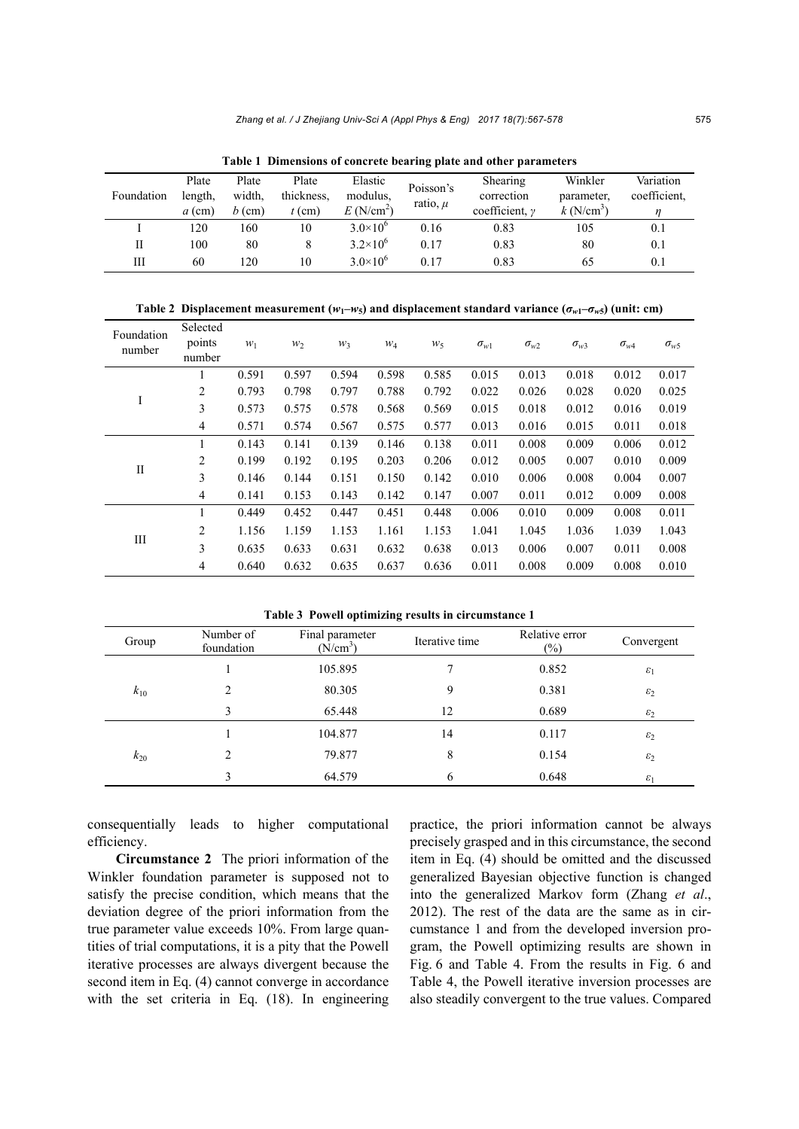| THOICE DIMENSIONS OF COMPLETE SCHILLING PARTS WHEN OVEREST PHILIPPINESS |          |          |            |                              |              |                    |                       |              |  |
|-------------------------------------------------------------------------|----------|----------|------------|------------------------------|--------------|--------------------|-----------------------|--------------|--|
| Foundation                                                              | Plate    | Plate    | Plate      | Elastic                      | Poisson's    | Shearing           | Winkler               | Variation    |  |
|                                                                         | length,  | width,   | thickness. | modulus.                     | ratio, $\mu$ | correction         | parameter,            | coefficient. |  |
|                                                                         | $a$ (cm) | $b$ (cm) | $t$ (cm)   | E(N/cm <sup>2</sup> )        |              | coefficient, $\nu$ | k(N/cm <sup>3</sup> ) |              |  |
|                                                                         | 120      | 160      | 10         | 3.0 $\times$ 10 <sup>6</sup> | 0.16         | 0.83               | 105                   | 0.1          |  |
| Н                                                                       | 100      | 80       |            | $3.2 \times 10^{6}$          | 0.17         | 0.83               | 80                    | 0.1          |  |
| Ш                                                                       | 60       | 20       | 10         | 3.0×10 <sup>6</sup>          | 0.17         | 0.83               | 65                    | 0.1          |  |

**Table 1 Dimensions of concrete bearing plate and other parameters** 

| Foundation<br>number | Selected<br>points<br>number | $w_1$ | $W_2$ | $W_3$ | $W_4$ | $W_5$ | $\sigma_{w1}$ | $\sigma_{w2}$ | $\sigma_{w3}$ | $\sigma_{w4}$ | $\sigma_{w5}$ |
|----------------------|------------------------------|-------|-------|-------|-------|-------|---------------|---------------|---------------|---------------|---------------|
|                      | $\bf{1}$                     | 0.591 | 0.597 | 0.594 | 0.598 | 0.585 | 0.015         | 0.013         | 0.018         | 0.012         | 0.017         |
| I                    | 2                            | 0.793 | 0.798 | 0.797 | 0.788 | 0.792 | 0.022         | 0.026         | 0.028         | 0.020         | 0.025         |
|                      | 3                            | 0.573 | 0.575 | 0.578 | 0.568 | 0.569 | 0.015         | 0.018         | 0.012         | 0.016         | 0.019         |
|                      | 4                            | 0.571 | 0.574 | 0.567 | 0.575 | 0.577 | 0.013         | 0.016         | 0.015         | 0.011         | 0.018         |
|                      | 1                            | 0.143 | 0.141 | 0.139 | 0.146 | 0.138 | 0.011         | 0.008         | 0.009         | 0.006         | 0.012         |
| П                    | 2                            | 0.199 | 0.192 | 0.195 | 0.203 | 0.206 | 0.012         | 0.005         | 0.007         | 0.010         | 0.009         |
|                      | 3                            | 0.146 | 0.144 | 0.151 | 0.150 | 0.142 | 0.010         | 0.006         | 0.008         | 0.004         | 0.007         |
|                      | 4                            | 0.141 | 0.153 | 0.143 | 0.142 | 0.147 | 0.007         | 0.011         | 0.012         | 0.009         | 0.008         |
| Ш                    | $\mathbf{I}$                 | 0.449 | 0.452 | 0.447 | 0.451 | 0.448 | 0.006         | 0.010         | 0.009         | 0.008         | 0.011         |
|                      | $\overline{c}$               | 1.156 | 1.159 | 1.153 | 1.161 | 1.153 | 1.041         | 1.045         | 1.036         | 1.039         | 1.043         |
|                      | 3                            | 0.635 | 0.633 | 0.631 | 0.632 | 0.638 | 0.013         | 0.006         | 0.007         | 0.011         | 0.008         |
|                      | 4                            | 0.640 | 0.632 | 0.635 | 0.637 | 0.636 | 0.011         | 0.008         | 0.009         | 0.008         | 0.010         |

**Table 3 Powell optimizing results in circumstance 1** 

| Group    | Number of<br>foundation | Final parameter<br>(N/cm <sup>3</sup> ) | Iterative time | Relative error<br>$\left(\%\right)$ | Convergent      |
|----------|-------------------------|-----------------------------------------|----------------|-------------------------------------|-----------------|
|          |                         | 105.895                                 |                | 0.852                               | $\varepsilon_1$ |
| $k_{10}$ | 2                       | 80.305                                  | 9              | 0.381                               | $\varepsilon_2$ |
|          |                         | 65.448                                  | 12             | 0.689                               | $\varepsilon_2$ |
|          |                         | 104.877                                 | 14             | 0.117                               | $\varepsilon_2$ |
| $k_{20}$ | 2                       | 79.877                                  | 8              | 0.154                               | $\varepsilon_2$ |
|          | 3                       | 64.579                                  | 6              | 0.648                               | $\varepsilon_1$ |

consequentially leads to higher computational efficiency.

**Circumstance 2** The priori information of the Winkler foundation parameter is supposed not to satisfy the precise condition, which means that the deviation degree of the priori information from the true parameter value exceeds 10%. From large quantities of trial computations, it is a pity that the Powell iterative processes are always divergent because the second item in Eq. (4) cannot converge in accordance with the set criteria in Eq. (18). In engineering practice, the priori information cannot be always precisely grasped and in this circumstance, the second item in Eq. (4) should be omitted and the discussed generalized Bayesian objective function is changed into the generalized Markov form (Zhang *et al*., 2012). The rest of the data are the same as in circumstance 1 and from the developed inversion program, the Powell optimizing results are shown in Fig. 6 and Table 4. From the results in Fig. 6 and Table 4, the Powell iterative inversion processes are also steadily convergent to the true values. Compared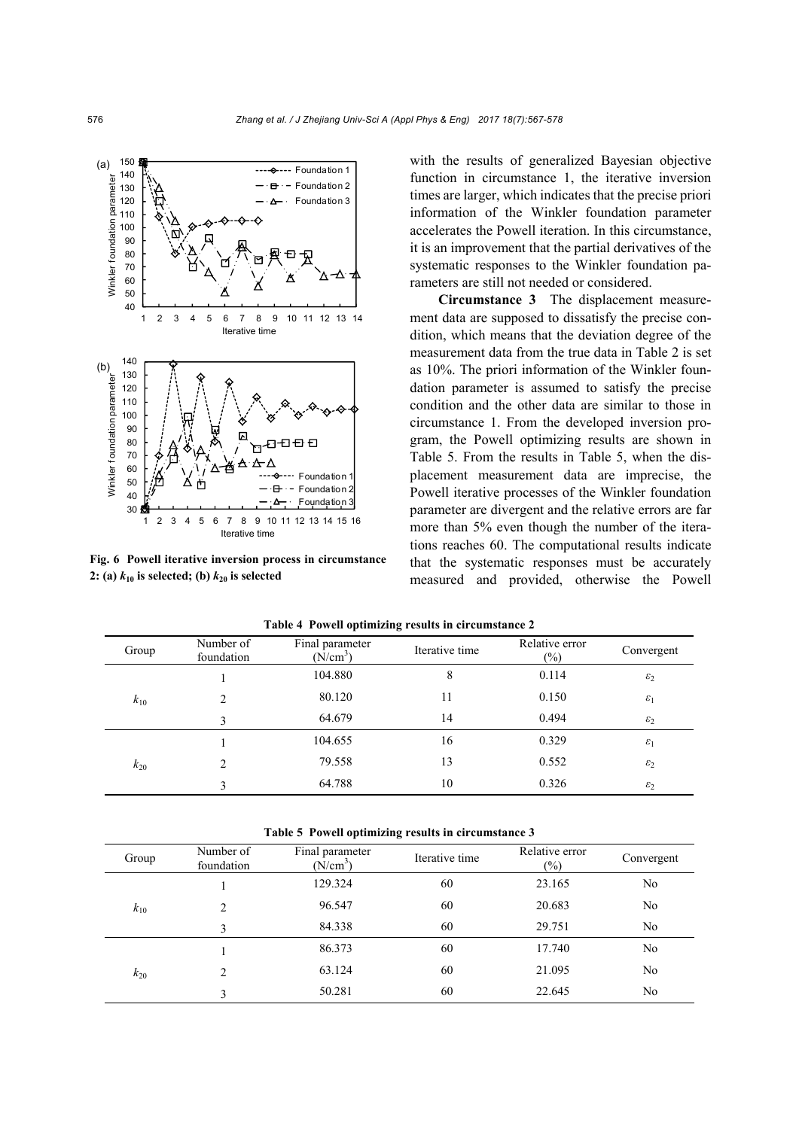

**Fig. 6 Powell iterative inversion process in circumstance**  2: (a)  $k_{10}$  is selected; (b)  $k_{20}$  is selected

with the results of generalized Bayesian objective function in circumstance 1, the iterative inversion times are larger, which indicates that the precise priori information of the Winkler foundation parameter accelerates the Powell iteration. In this circumstance, it is an improvement that the partial derivatives of the systematic responses to the Winkler foundation parameters are still not needed or considered.

**Circumstance 3** The displacement measurement data are supposed to dissatisfy the precise condition, which means that the deviation degree of the measurement data from the true data in Table 2 is set as 10%. The priori information of the Winkler foundation parameter is assumed to satisfy the precise condition and the other data are similar to those in circumstance 1. From the developed inversion program, the Powell optimizing results are shown in Table 5. From the results in Table 5, when the displacement measurement data are imprecise, the Powell iterative processes of the Winkler foundation parameter are divergent and the relative errors are far more than 5% even though the number of the iterations reaches 60. The computational results indicate that the systematic responses must be accurately measured and provided, otherwise the Powell

| Group    | Number of<br>foundation | Final parameter<br>(N/cm <sup>3</sup> ) | Iterative time | Relative error<br>$(\%)$ | Convergent      |
|----------|-------------------------|-----------------------------------------|----------------|--------------------------|-----------------|
|          |                         | 104.880                                 | 8              | 0.114                    | $\varepsilon_2$ |
| $k_{10}$ | $\mathfrak{D}$          | 80.120                                  | 11             | 0.150                    | $\varepsilon_1$ |
|          | 3                       | 64.679                                  | 14             | 0.494                    | $\varepsilon_2$ |
| $k_{20}$ |                         | 104.655                                 | 16             | 0.329                    | $\varepsilon_1$ |
|          | $\mathfrak{D}$          | 79.558                                  | 13             | 0.552                    | $\varepsilon_2$ |
|          | 3                       | 64.788                                  | 10             | 0.326                    | $\varepsilon_2$ |

**Table 4 Powell optimizing results in circumstance 2** 

|  |  | Table 5 Powell optimizing results in circumstance 3 |
|--|--|-----------------------------------------------------|
|  |  |                                                     |

|          |                         |                                         | $\cdot$        |                          |            |
|----------|-------------------------|-----------------------------------------|----------------|--------------------------|------------|
| Group    | Number of<br>foundation | Final parameter<br>(N/cm <sup>3</sup> ) | Iterative time | Relative error<br>$(\%)$ | Convergent |
|          |                         | 129.324                                 | 60             | 23.165                   | No         |
| $k_{10}$ | 2                       | 96.547                                  | 60             | 20.683                   | No         |
|          | 3                       | 84.338                                  | 60             | 29.751                   | No         |
|          |                         | 86.373                                  | 60             | 17.740                   | No         |
| $k_{20}$ | 2                       | 63.124                                  | 60             | 21.095                   | No         |
|          |                         | 50.281                                  | 60             | 22.645                   | No         |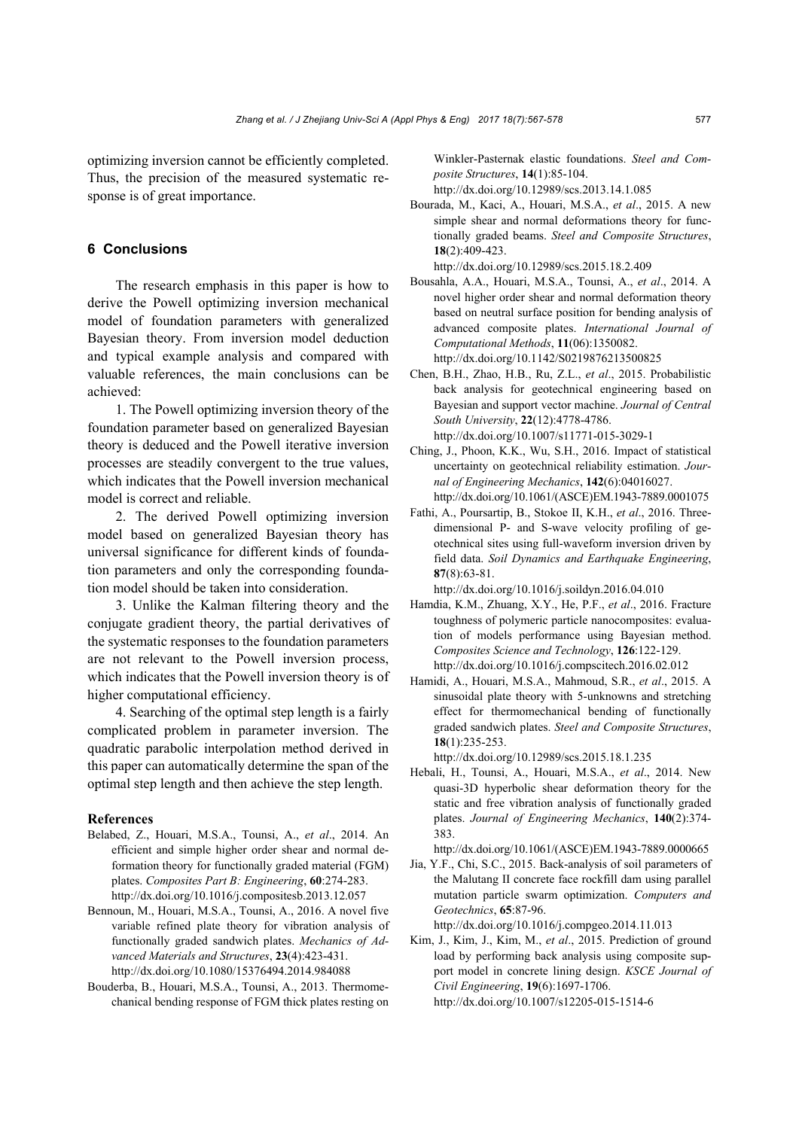optimizing inversion cannot be efficiently completed. Thus, the precision of the measured systematic response is of great importance.

#### **6 Conclusions**

The research emphasis in this paper is how to derive the Powell optimizing inversion mechanical model of foundation parameters with generalized Bayesian theory. From inversion model deduction and typical example analysis and compared with valuable references, the main conclusions can be achieved:

1. The Powell optimizing inversion theory of the foundation parameter based on generalized Bayesian theory is deduced and the Powell iterative inversion processes are steadily convergent to the true values, which indicates that the Powell inversion mechanical model is correct and reliable.

2. The derived Powell optimizing inversion model based on generalized Bayesian theory has universal significance for different kinds of foundation parameters and only the corresponding foundation model should be taken into consideration.

3. Unlike the Kalman filtering theory and the conjugate gradient theory, the partial derivatives of the systematic responses to the foundation parameters are not relevant to the Powell inversion process, which indicates that the Powell inversion theory is of higher computational efficiency.

4. Searching of the optimal step length is a fairly complicated problem in parameter inversion. The quadratic parabolic interpolation method derived in this paper can automatically determine the span of the optimal step length and then achieve the step length.

#### **References**

- Belabed, Z., Houari, M.S.A., Tounsi, A., *et al*., 2014. An efficient and simple higher order shear and normal deformation theory for functionally graded material (FGM) plates. *Composites Part B: Engineering*, **60**:274-283. http://dx.doi.org/10.1016/j.compositesb.2013.12.057
- Bennoun, M., Houari, M.S.A., Tounsi, A., 2016. A novel five variable refined plate theory for vibration analysis of functionally graded sandwich plates. *Mechanics of Advanced Materials and Structures*, **23**(4):423-431. http://dx.doi.org/10.1080/15376494.2014.984088
- Bouderba, B., Houari, M.S.A., Tounsi, A., 2013. Thermomechanical bending response of FGM thick plates resting on

Winkler-Pasternak elastic foundations. *Steel and Composite Structures*, **14**(1):85-104.

http://dx.doi.org/10.12989/scs.2013.14.1.085

Bourada, M., Kaci, A., Houari, M.S.A., *et al*., 2015. A new simple shear and normal deformations theory for functionally graded beams. *Steel and Composite Structures*, **18**(2):409-423.

http://dx.doi.org/10.12989/scs.2015.18.2.409

- Bousahla, A.A., Houari, M.S.A., Tounsi, A., *et al*., 2014. A novel higher order shear and normal deformation theory based on neutral surface position for bending analysis of advanced composite plates. *International Journal of Computational Methods*, **11**(06):1350082. http://dx.doi.org/10.1142/S0219876213500825
- Chen, B.H., Zhao, H.B., Ru, Z.L., *et al*., 2015. Probabilistic back analysis for geotechnical engineering based on Bayesian and support vector machine. *Journal of Central South University*, **22**(12):4778-4786. http://dx.doi.org/10.1007/s11771-015-3029-1
- Ching, J., Phoon, K.K., Wu, S.H., 2016. Impact of statistical uncertainty on geotechnical reliability estimation. *Journal of Engineering Mechanics*, **142**(6):04016027. http://dx.doi.org/10.1061/(ASCE)EM.1943-7889.0001075
- Fathi, A., Poursartip, B., Stokoe II, K.H., *et al*., 2016. Threedimensional P- and S-wave velocity profiling of geotechnical sites using full-waveform inversion driven by field data. *Soil Dynamics and Earthquake Engineering*, **87**(8):63-81.

http://dx.doi.org/10.1016/j.soildyn.2016.04.010

- Hamdia, K.M., Zhuang, X.Y., He, P.F., *et al*., 2016. Fracture toughness of polymeric particle nanocomposites: evaluation of models performance using Bayesian method. *Composites Science and Technology*, **126**:122-129. http://dx.doi.org/10.1016/j.compscitech.2016.02.012
- Hamidi, A., Houari, M.S.A., Mahmoud, S.R., *et al*., 2015. A sinusoidal plate theory with 5-unknowns and stretching effect for thermomechanical bending of functionally graded sandwich plates. *Steel and Composite Structures*, **18**(1):235-253.

http://dx.doi.org/10.12989/scs.2015.18.1.235

Hebali, H., Tounsi, A., Houari, M.S.A., *et al*., 2014. New quasi-3D hyperbolic shear deformation theory for the static and free vibration analysis of functionally graded plates. *Journal of Engineering Mechanics*, **140**(2):374- 383.

http://dx.doi.org/10.1061/(ASCE)EM.1943-7889.0000665

Jia, Y.F., Chi, S.C., 2015. Back-analysis of soil parameters of the Malutang II concrete face rockfill dam using parallel mutation particle swarm optimization. *Computers and Geotechnics*, **65**:87-96.

http://dx.doi.org/10.1016/j.compgeo.2014.11.013

Kim, J., Kim, J., Kim, M., *et al*., 2015. Prediction of ground load by performing back analysis using composite support model in concrete lining design. *KSCE Journal of Civil Engineering*, **19**(6):1697-1706. http://dx.doi.org/10.1007/s12205-015-1514-6